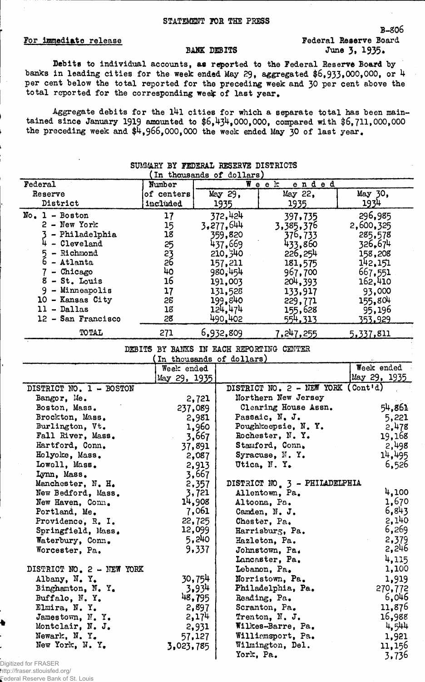## B-806 For immediate release For immediate release Federal Reserve Board<br>BANK DEBITS June 3, 1935. June 3, 1935.

Debits to individual accounts, as reported to the Federal Reserve Board by banks in leading cities for the week ended May 29, aggregated \$6,933,000,000, or 4 per cent below the total reported for the preceding week and 30 per cent above the total reported for the corresponding week of last year.

Aggregate debits for the 141 cities for which a separate total has been maintained since January 1919 amounted to  $$6,434,000,000$ , compared with  $$6,711,000,000$ the preceding week and  $$4,966,000,000$  the week ended May 30 of last year.

| SUMMARY BY FEDERAL RESERVE DISTRICTS<br>In thousands of dollars) |            |           |               |           |  |  |
|------------------------------------------------------------------|------------|-----------|---------------|-----------|--|--|
| Federal                                                          | Number     |           | Week<br>ended |           |  |  |
| Reserve                                                          | of centers | May 29,   | May 22,       | May 30,   |  |  |
| District                                                         | included   | 1935      | 1935          | 1934      |  |  |
| $No. 1 - Boston$                                                 | 17         | 372,424   | 397,735       | 296,985   |  |  |
| $2 - New York$                                                   | 15         | 3,277,644 | 3,385,376     | 2,600,325 |  |  |
| - Philadelphia                                                   | 18         | 359,820   | 376,733       | 285,578   |  |  |
| - Cleveland                                                      | 25         | 437,669   | 433,860       | 326,674   |  |  |
| - Richmond<br>5<br>6                                             |            | 210, 340  | 226,254       | 158,208   |  |  |
| - Atlanta                                                        | 23<br>26   | 157,211   | 181,575       | 142,151   |  |  |
| - Chicago                                                        | 40         | 980,454   | 967,700       | 667,551   |  |  |
| - St. Louis                                                      | 16         | 191,003   | 204, 393      | 162,410   |  |  |
| 9<br>- Minneapolis                                               | 17         | 131,528   | 133,917       | 93,000    |  |  |
| 10<br>- Kansas City                                              | 28         | 199,840   | 229,771       | 155,804   |  |  |
| - Dallas                                                         | 18         | 124,474   | 155,628       | 95,196    |  |  |
| 12 - San Francisco                                               | 28         | 490.402   | 554,313       | 353,929   |  |  |
| TOTAL                                                            | 271        | 6,932,809 | 7,247,255     | 5,337,811 |  |  |

DEBITS BY BANKS IN EACH REPORTING CENTER

| In thousands of dollars)  |              |                                    |              |  |  |  |
|---------------------------|--------------|------------------------------------|--------------|--|--|--|
|                           | Week ended   |                                    | Week ended   |  |  |  |
|                           | May 29, 1935 |                                    | May 29, 1935 |  |  |  |
| DISTRICT NO. 1 - BOSTON   |              | DISTRICT NO. 2 - NEW YORK (Cont'd) |              |  |  |  |
| Bangor, Me.               | 2,721        | Northern New Jersey                |              |  |  |  |
| Boston, Mass.             | 237,089      | Clearing House Assn.               | 54,861       |  |  |  |
| Brockton, Mass.           | 2,981        | Passaic, N. J.                     | 5,221        |  |  |  |
| Burlington, Vt.           | 1,960        | Poughkeepsie, N.Y.                 | 2.478        |  |  |  |
| Fall River, Mass.         | 3,667        | Rochester, N.Y.                    | 19,168       |  |  |  |
| Hartford, Conn.           | 37,891       | Stamford, Conn.                    | 2,498        |  |  |  |
| Holyoke, Mass.            | 2,087        | Syracuse, N.Y.                     | 14,495       |  |  |  |
| Lowell, Mass.             | 2,913        | Utica, N.Y.                        | 6,526        |  |  |  |
| Lynn, Mass.               | 3,667        |                                    |              |  |  |  |
| Manchester, N. H.         | 2,357        | DISTRICT NO 3 - PHILADELPHIA       |              |  |  |  |
| New Bedford, Mass.        | 3,721        | Allentown, Pa.                     | 4,100        |  |  |  |
| New Haven, Conn.          | 14,908       | Altoona, Pa.                       | 1,670        |  |  |  |
| Portland, Me.             | 7,061        | Camden, N. J.                      | 6,843        |  |  |  |
| Providence, R. I.         | 22,725       | Chester, Pa.                       | 2,140        |  |  |  |
| Springfield, Mass.        | 12,099       | Harrisburg, Pa.                    | 6,269        |  |  |  |
| Waterbury, Conn.          | 5,240        | Hazleton, Pa.                      | 2,379        |  |  |  |
| Worcester, Pa.            | 9,337        | Johnstown, Pa.                     | 2,246        |  |  |  |
|                           |              | Lancaster, Pa.                     | 4,115        |  |  |  |
| DISTRICT NO. 2 - NEW YORK |              | Lebanon, Pa.                       | 1,100        |  |  |  |
| Albany, N.Y.              | 30,754       | Norristown, Pa.                    | 1,919        |  |  |  |
| Binghamton, N.Y.          | 3.934        | Philadelphia, Pa.                  | 270,772      |  |  |  |
| Buffalo, N.Y.             | 48,795       | Reading, Pa.                       | 6,046        |  |  |  |
| Elmira, N.Y.              | 2,897        | Scranton, Pa.                      | 11,876       |  |  |  |
| Jamestown, N.Y.           | 2,174        | Trenton, N. J.                     | 16,988       |  |  |  |
| Montclair, N. J.          | 2,931        | Wilkes-Barre, Pa.                  | 4,544        |  |  |  |
| Newark, N.Y.              | 57,127       | Williamsport, Pa.                  | 1,921        |  |  |  |
| New York, N. Y.           | 3,023,785    | Wilmington, Del.                   | 11,156       |  |  |  |
|                           |              | York, Pa.                          | 3,736        |  |  |  |

Digitized for FRASER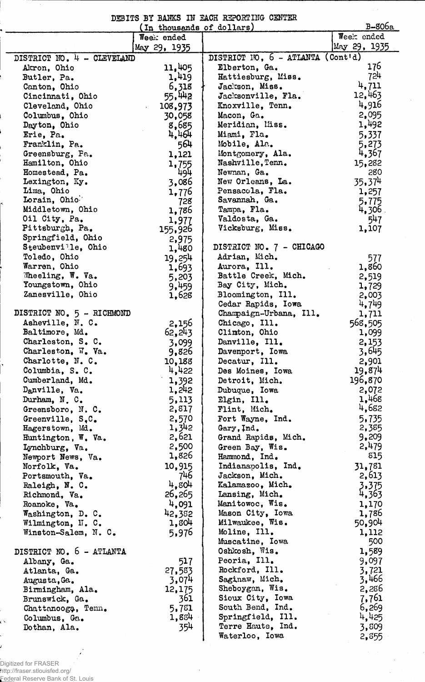|  |  |  | DEBITS BY BANKS IN EACH REPORTING CENTER |
|--|--|--|------------------------------------------|
|  |  |  |                                          |

| B-806a<br>(In thousands of dollars) |              |                                   |                    |  |  |  |
|-------------------------------------|--------------|-----------------------------------|--------------------|--|--|--|
|                                     | Week ended   |                                   | Week ended         |  |  |  |
|                                     | May 29, 1935 |                                   | May 29, 1935       |  |  |  |
| DISTRICT NO. 4 - CLEVELAND          |              | DISTRICT NO, 6 - ATLANTA (Cont'd) |                    |  |  |  |
| Akron, Ohio                         | 11,405       | Elberton, Ga.                     | 176                |  |  |  |
| Butler, Pa.                         | 1,419        | Hattiesburg, Miss.                | 724                |  |  |  |
| Canton, Ohio                        | 6,318        | Jackson, Miss.                    | 4,711              |  |  |  |
| Cincinnati, Ohio                    | 55,442       | Jacksonville, Fla.                | 12,463             |  |  |  |
| Cleveland, Ohio                     | 108,973      | Knoxville, Tenn.                  | 4,916              |  |  |  |
| Columbus, Ohio                      | 30,058       | Macon, Ga.                        | 2,095              |  |  |  |
| Dayton, Ohio                        | 8,685        | Meridian, Miss.                   | 1,492              |  |  |  |
|                                     |              | Miami, Fla.                       | 5,337              |  |  |  |
| Erie, Pa.                           | 4,464        |                                   |                    |  |  |  |
| Franklin, Pa.                       | 564          | Mobile, Ala.                      | 5,273              |  |  |  |
| Greensburg, Pa.                     | 1,121        | Montgomery, Ala.                  | 4,367              |  |  |  |
| Hamilton, Ohio                      | 1,755        | Nashville, Tenn.                  | 15,282             |  |  |  |
| Homestead, Pa.                      | 494          | Newnan, Ga.                       | 280                |  |  |  |
| Lexington, Ky.                      | 3,086        | New Orleans, La.                  | 35.37 <sup>4</sup> |  |  |  |
| Lima, Ohio                          | 1,776        | Pensacola, Fla.                   | 1,257              |  |  |  |
| Lorain, Ohio                        | 728          | Savannah, Ga.                     | 5,775              |  |  |  |
| Middletown, Ohio                    | 1,786        | Tampa, Fla.                       | 4,306              |  |  |  |
| Oil City, Pa.                       | 1,977        | Valdosta, Ga.                     | 547                |  |  |  |
| Pittsburgh, Pa.                     | 155,926      | Vicksburg, Miss.                  | 1,107              |  |  |  |
| Springfield, Ohio                   | 2,975        |                                   |                    |  |  |  |
| Steubenville, Ohio                  | 1,480        | DISTRICT NO. 7 - CHICAGO          |                    |  |  |  |
| Toledo, Ohio                        | 19,254       | Adrian, Mich.                     | 577                |  |  |  |
| Warren, Ohio                        | 1,693        | Aurora, Ill.                      | 1,860              |  |  |  |
| Wheeling, W. Va.                    | 5,203        | Battle Creek, Mich.               | 2,519              |  |  |  |
| Youngstown, Ohio                    | 9,459        | Bay City, Mich.                   | 1,729              |  |  |  |
| Zanesville, Ohio                    | 1,628        | Bloomington, Ill.                 | 2,003              |  |  |  |
|                                     |              | Cedar Rapids, Iowa                | 4,749              |  |  |  |
| DISTRICT NO. 5 - RICHMOND           |              | Champaign-Urbana, Ill.            | 1,711              |  |  |  |
| Asheville, N. C.                    | 2,156        | Chicago, Ill.                     | 568,505            |  |  |  |
| Baltimore, Md.                      | 62,243       | Climton, Ohio                     | 1,099              |  |  |  |
| Charleston, S. C.                   | 3,099        | Danville, Ill.                    | 2,153              |  |  |  |
| Charleston, W. Va.                  | 9,826        | Davenport, Iowa                   | 3,645              |  |  |  |
| Charlotte, N.C.                     | 10,188       | Decatur, Ill.                     | 2,901              |  |  |  |
| Columbia, S. C.                     | 4,422        | Des Moines, Iowa                  | 19,874             |  |  |  |
| Cumberland, Md.                     | 1,392        | Detroit, Mich.                    | 196,870            |  |  |  |
| Danville, Va.                       | 1,242        | Dubuque, Iowa                     | 2,072              |  |  |  |
|                                     | 5,113        |                                   | 1,468              |  |  |  |
| Durham, N.C.                        |              | Elgin, Ill.                       | 4,682              |  |  |  |
| Greensboro, N. C.                   | 2,817        | Flint, Mich.                      |                    |  |  |  |
| Greenville, S.C.                    | 2,570        | Fort Wayne, Ind.                  | 5,735              |  |  |  |
| Hagerstown, Md.                     | 1,342        | Gary, Ind.                        | 2,385              |  |  |  |
| Huntington, W. Va.                  | 2,621        | Grand Rapids, Mich.               | 9,209              |  |  |  |
| Lynchburg, Va.                      | 2,500        | Green Bay, Wis.                   | 2,479              |  |  |  |
| Newport News, Va.                   | 1,826        | Hammond, Ind.                     | 815                |  |  |  |
| Norfolk, Va.                        | 10,915       | Indianapolis, Ind.                | 31,781             |  |  |  |
| Portsmouth, Va.                     | 746          | Jackson, Mich.                    | 2,613              |  |  |  |
| Raleigh, N. C.                      | 4,804        | Kalamazoo, Mich.                  | 3,375              |  |  |  |
| Richmond, Va.                       | 26,265       | Lansing, Mich.                    | 4,363              |  |  |  |
| Roanoke, Va.                        | 4,091        | Manitowoc, Wis.                   | 1,170              |  |  |  |
| Washington, D. C.                   | 42,382       | Mason City, Iowa                  | 1,786              |  |  |  |
| Wilmington, H. C.                   | 1,804        | Milwaukee, Wis.                   | 50,904             |  |  |  |
| Winston-Salem, N. C.                | 5,976        | Moline, Ill.                      | 1,112              |  |  |  |
|                                     |              | Muscatine, Iowa                   | 500                |  |  |  |
| DISTRICT NO. 6 - ATLANTA            |              | Oshkosh, Wis.                     | 1,589              |  |  |  |
| Albany, Ga.                         | 517          | Peoria, Ill.                      | 9,097              |  |  |  |
| Atlanta, Ga.                        | 27,583       | Rockford, Ill.                    | 3,721              |  |  |  |
| Augusta, Ga.                        | 3,074        | Saginaw, Mich.                    | 3,466              |  |  |  |
| Birmingham, Ala.                    | 12,175       | Sheboygan, Wis.                   | 2,286              |  |  |  |
| Brunswick, Ga.                      | 361          | Sioux City, Iowa                  | 7,761              |  |  |  |
| Chattanooga, Tenn.                  | 5,781        | South Bend, Ind.                  | 6,269              |  |  |  |
| Columbus, Ga.                       | 1,884        | Springfield, Ill.                 | 4,425              |  |  |  |
| Dothan, Ala.                        | 354          | Terre Haute, Ind.                 | 3,809              |  |  |  |
|                                     |              | Waterloo, Iowa                    | 2,855              |  |  |  |

 $\sim$ 

Digitized for FRASER http://fraser.stlouisfed.org/ Federal Reserve Bank of St. Louis